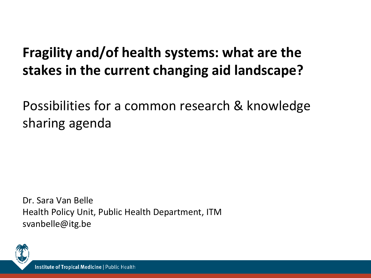# **Fragility and/of health systems: what are the stakes in the current changing aid landscape?**

Possibilities for a common research & knowledge sharing agenda

Dr. Sara Van Belle Health Policy Unit, Public Health Department, ITM svanbelle@itg.be

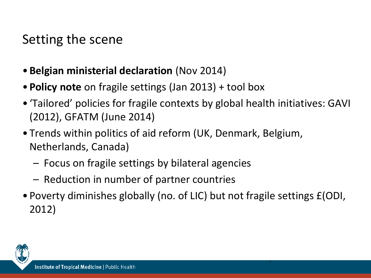## Setting the scene

- **Belgian ministerial declaration** (Nov 2014)
- **Policy note** on fragile settings (Jan 2013) + tool box
- 'Tailored' policies for fragile contexts by global health initiatives: GAVI (2012), GFATM (June 2014)
- Trends within politics of aid reform (UK, Denmark, Belgium, Netherlands, Canada)
	- Focus on fragile settings by bilateral agencies
	- Reduction in number of partner countries
- Poverty diminishes globally (no. of LIC) but not fragile settings £(ODI, 2012)

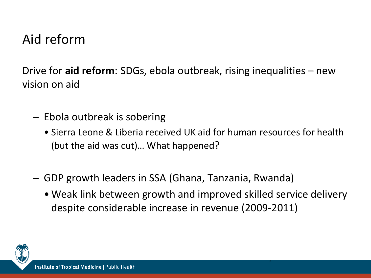## Aid reform

Drive for **aid reform**: SDGs, ebola outbreak, rising inequalities – new vision on aid

- Ebola outbreak is sobering
	- Sierra Leone & Liberia received UK aid for human resources for health (but the aid was cut)… What happened?
- GDP growth leaders in SSA (Ghana, Tanzania, Rwanda)
	- •Weak link between growth and improved skilled service delivery despite considerable increase in revenue (2009-2011)

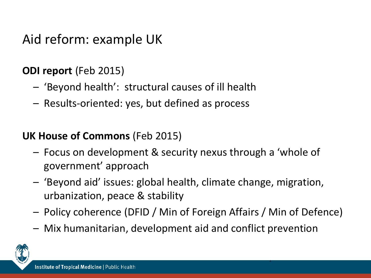## Aid reform: example UK

### **ODI report** (Feb 2015)

- 'Beyond health': structural causes of ill health
- Results-oriented: yes, but defined as process

#### **UK House of Commons** (Feb 2015)

- Focus on development & security nexus through a 'whole of government' approach
- 'Beyond aid' issues: global health, climate change, migration, urbanization, peace & stability
- Policy coherence (DFID / Min of Foreign Affairs / Min of Defence)

4

– Mix humanitarian, development aid and conflict prevention

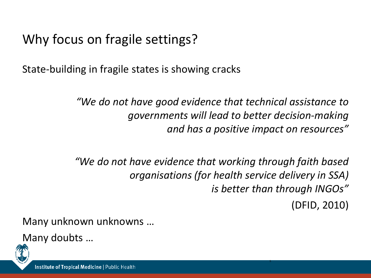State-building in fragile states is showing cracks

*"We do not have good evidence that technical assistance to governments will lead to better decision-making and has a positive impact on resources"*

*"We do not have evidence that working through faith based organisations (for health service delivery in SSA) is better than through INGOs"*

(DFID, 2010)

5

Many unknown unknowns …

Many doubts …

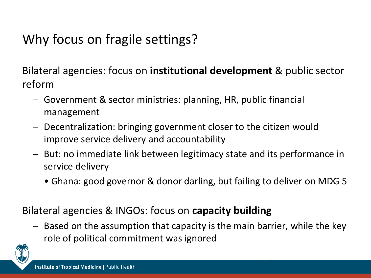Bilateral agencies: focus on **institutional development** & public sector reform

- Government & sector ministries: planning, HR, public financial management
- Decentralization: bringing government closer to the citizen would improve service delivery and accountability
- But: no immediate link between legitimacy state and its performance in service delivery
	- Ghana: good governor & donor darling, but failing to deliver on MDG 5

Bilateral agencies & INGOs: focus on **capacity building**

– Based on the assumption that capacity is the main barrier, while the key role of political commitment was ignored

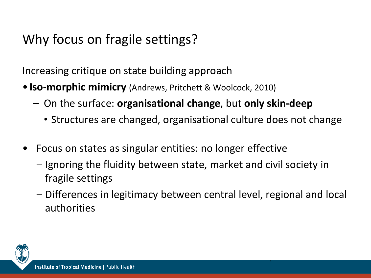Increasing critique on state building approach

- **Iso-morphic mimicry** (Andrews, Pritchett & Woolcock, 2010)
	- On the surface: **organisational change**, but **only skin-deep** 
		- Structures are changed, organisational culture does not change
- Focus on states as singular entities: no longer effective
	- Ignoring the fluidity between state, market and civil society in fragile settings
	- Differences in legitimacy between central level, regional and local authorities

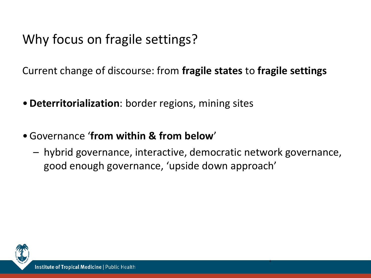Current change of discourse: from **fragile states** to **fragile settings** 

- •**Deterritorialization**: border regions, mining sites
- •Governance '**from within & from below**'
	- hybrid governance, interactive, democratic network governance, good enough governance, 'upside down approach'

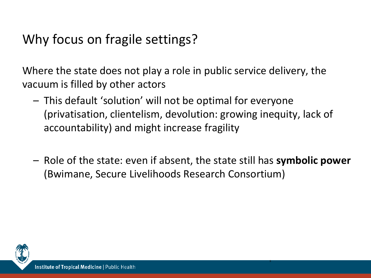Where the state does not play a role in public service delivery, the vacuum is filled by other actors

- This default 'solution' will not be optimal for everyone (privatisation, clientelism, devolution: growing inequity, lack of accountability) and might increase fragility
- Role of the state: even if absent, the state still has **symbolic power**  (Bwimane, Secure Livelihoods Research Consortium)

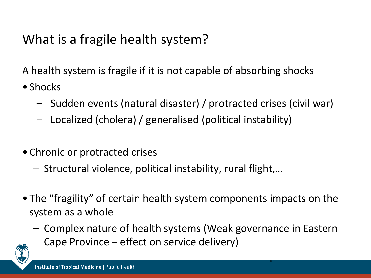## What is a fragile health system?

A health system is fragile if it is not capable of absorbing shocks

- Shocks
	- Sudden events (natural disaster) / protracted crises (civil war)
	- Localized (cholera) / generalised (political instability)
- Chronic or protracted crises
	- Structural violence, political instability, rural flight,…
- The "fragility" of certain health system components impacts on the system as a whole
	- Complex nature of health systems (Weak governance in Eastern Cape Province – effect on service delivery)

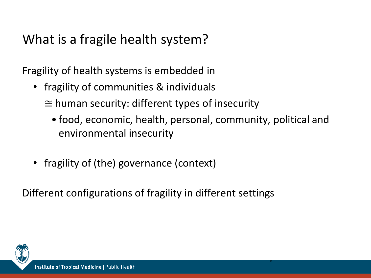## What is a fragile health system?

Fragility of health systems is embedded in

- fragility of communities & individuals
	- $\cong$  human security: different types of insecurity
		- food, economic, health, personal, community, political and environmental insecurity

11

• fragility of (the) governance (context)

Different configurations of fragility in different settings

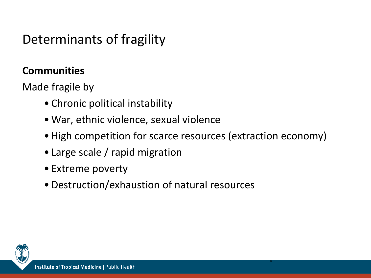## Determinants of fragility

### **Communities**

Made fragile by

- Chronic political instability
- •War, ethnic violence, sexual violence
- High competition for scarce resources (extraction economy)

- Large scale / rapid migration
- Extreme poverty
- •Destruction/exhaustion of natural resources

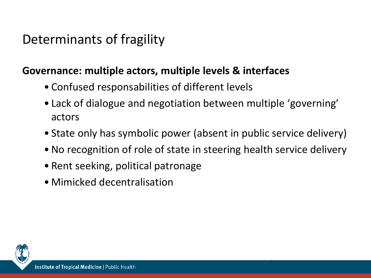## Determinants of fragility

#### **Governance: multiple actors, multiple levels & interfaces**

- Confused responsabilities of different levels
- Lack of dialogue and negotiation between multiple 'governing' actors
- State only has symbolic power (absent in public service delivery)
- No recognition of role of state in steering health service delivery

- Rent seeking, political patronage
- Mimicked decentralisation

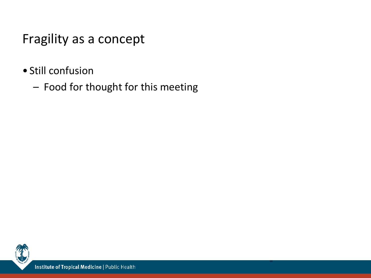## Fragility as a concept

- Still confusion
	- Food for thought for this meeting

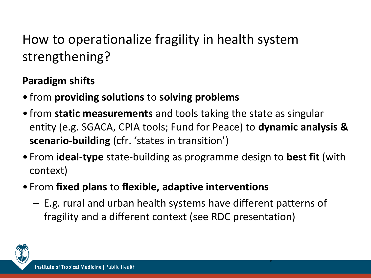### **Paradigm shifts**

- from **providing solutions** to **solving problems**
- from **static measurements** and tools taking the state as singular entity (e.g. SGACA, CPIA tools; Fund for Peace) to **dynamic analysis & scenario-building** (cfr. 'states in transition')
- From **ideal-type** state-building as programme design to **best fit** (with context)
- From **fixed plans** to **flexible, adaptive interventions**
	- E.g. rural and urban health systems have different patterns of fragility and a different context (see RDC presentation)

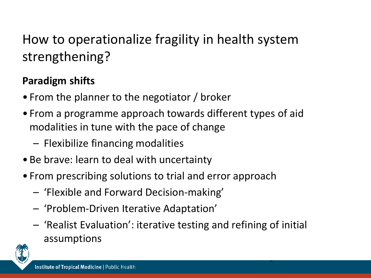#### **Paradigm shifts**

- From the planner to the negotiator / broker
- From a programme approach towards different types of aid modalities in tune with the pace of change
	- Flexibilize financing modalities
- Be brave: learn to deal with uncertainty
- From prescribing solutions to trial and error approach
	- 'Flexible and Forward Decision-making'
	- 'Problem-Driven Iterative Adaptation'
	- 'Realist Evaluation': iterative testing and refining of initial assumptions

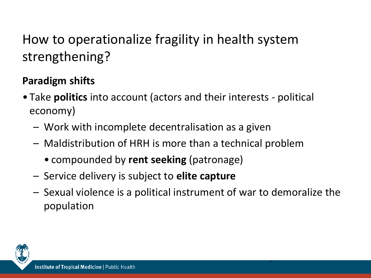### **Paradigm shifts**

- Take **politics** into account (actors and their interests political economy)
	- Work with incomplete decentralisation as a given
	- Maldistribution of HRH is more than a technical problem
		- compounded by **rent seeking** (patronage)
	- Service delivery is subject to **elite capture**
	- Sexual violence is a political instrument of war to demoralize the population

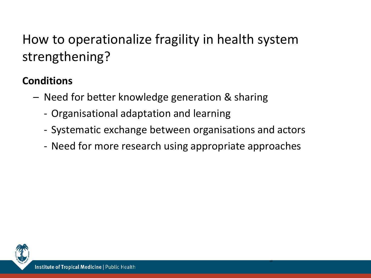### **Conditions**

- Need for better knowledge generation & sharing
	- Organisational adaptation and learning
	- Systematic exchange between organisations and actors
	- Need for more research using appropriate approaches

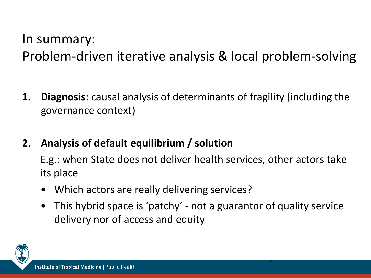## In summary: Problem-driven iterative analysis & local problem-solving

- **1. Diagnosis**: causal analysis of determinants of fragility (including the governance context)
- **2. Analysis of default equilibrium / solution**
	- E.g.: when State does not deliver health services, other actors take its place
	- Which actors are really delivering services?
	- This hybrid space is 'patchy' not a guarantor of quality service delivery nor of access and equity

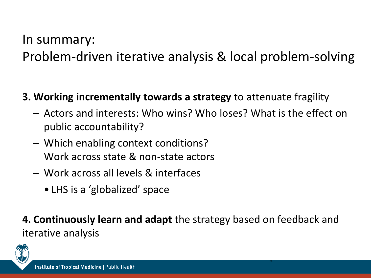## In summary: Problem-driven iterative analysis & local problem-solving

#### **3. Working incrementally towards a strategy** to attenuate fragility

- Actors and interests: Who wins? Who loses? What is the effect on public accountability?
- Which enabling context conditions? Work across state & non-state actors
- Work across all levels & interfaces
	- LHS is a 'globalized' space

### **4. Continuously learn and adapt** the strategy based on feedback and iterative analysis

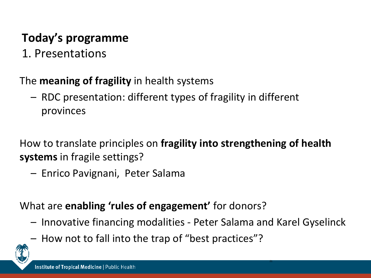## **Today's programme**

1. Presentations

#### The **meaning of fragility** in health systems

– RDC presentation: different types of fragility in different provinces

How to translate principles on **fragility into strengthening of health systems** in fragile settings?

– Enrico Pavignani, Peter Salama

What are **enabling 'rules of engagement'** for donors?

– Innovative financing modalities - Peter Salama and Karel Gyselinck

21

– How not to fall into the trap of "best practices"?

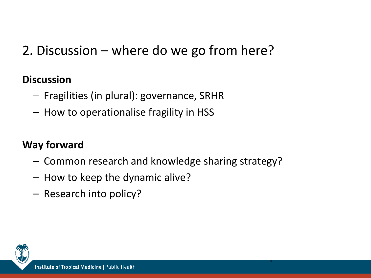## 2. Discussion – where do we go from here?

#### **Discussion**

- Fragilities (in plural): governance, SRHR
- How to operationalise fragility in HSS

### **Way forward**

– Common research and knowledge sharing strategy?

- How to keep the dynamic alive?
- Research into policy?